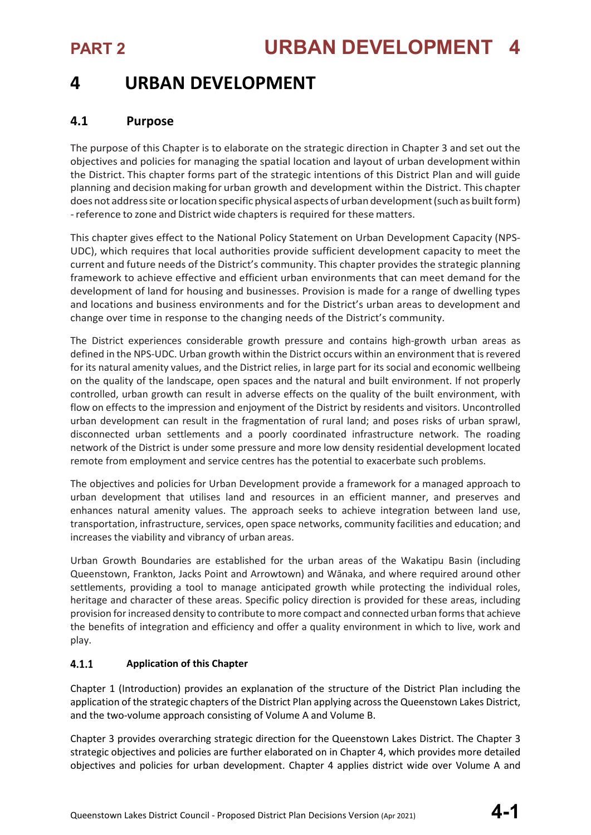## **4 URBAN DEVELOPMENT**

## **4.1 Purpose**

The purpose of this Chapter is to elaborate on the strategic direction in Chapter 3 and set out the objectives and policies for managing the spatial location and layout of urban development within the District. This chapter forms part of the strategic intentions of this District Plan and will guide planning and decisionmaking for urban growth and development within the District. This chapter does not address site or location specific physical aspects of urban development (such as built form) -reference to zone and District wide chaptersis required for thesematters.

This chapter gives effect to the National Policy Statement on Urban Development Capacity (NPS-UDC), which requires that local authorities provide sufficient development capacity to meet the current and future needs of the District's community. This chapter provides the strategic planning framework to achieve effective and efficient urban environments that can meet demand for the development of land for housing and businesses. Provision is made for a range of dwelling types and locations and business environments and for the District's urban areas to development and change over time in response to the changing needs of the District's community.

The District experiences considerable growth pressure and contains high-growth urban areas as defined in the NPS-UDC. Urban growth within the District occurs within an environment that is revered for its natural amenity values, and the District relies, in large part for its social and economic wellbeing on the quality of the landscape, open spaces and the natural and built environment. If not properly controlled, urban growth can result in adverse effects on the quality of the built environment, with flow on effects to the impression and enjoyment of the District by residents and visitors. Uncontrolled urban development can result in the fragmentation of rural land; and poses risks of urban sprawl, disconnected urban settlements and a poorly coordinated infrastructure network. The roading network of the District is under some pressure and more low density residential development located remote from employment and service centres has the potential to exacerbate such problems.

The objectives and policies for Urban Development provide a framework for a managed approach to urban development that utilises land and resources in an efficient manner, and preserves and enhances natural amenity values. The approach seeks to achieve integration between land use, transportation, infrastructure, services, open space networks, community facilities and education; and increases the viability and vibrancy of urban areas.

Urban Growth Boundaries are established for the urban areas of the Wakatipu Basin (including Queenstown, Frankton, Jacks Point and Arrowtown) and Wānaka, and where required around other settlements, providing a tool to manage anticipated growth while protecting the individual roles, heritage and character of these areas. Specific policy direction is provided for these areas, including provision for increased density to contribute to more compact and connected urban forms that achieve the benefits of integration and efficiency and offer a quality environment in which to live, work and play.

### $4.1.1$ **Application of this Chapter**

Chapter 1 (Introduction) provides an explanation of the structure of the District Plan including the application of the strategic chapters of the District Plan applying across the Queenstown Lakes District, and the two-volume approach consisting of Volume A and Volume B.

Chapter 3 provides overarching strategic direction for the Queenstown Lakes District. The Chapter 3 strategic objectives and policies are further elaborated on in Chapter 4, which provides more detailed objectives and policies for urban development. Chapter 4 applies district wide over Volume A and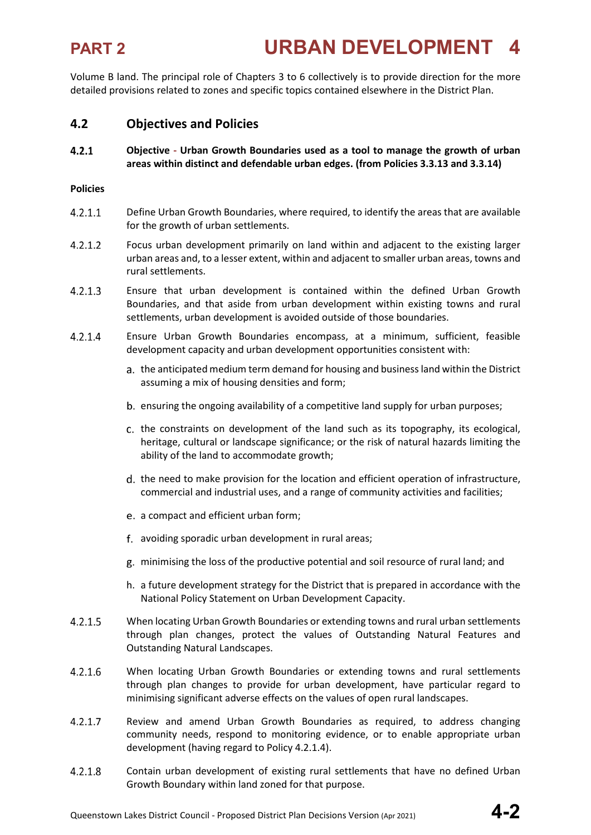Volume B land. The principal role of Chapters 3 to 6 collectively is to provide direction for the more detailed provisions related to zones and specific topics contained elsewhere in the District Plan.

## **4.2 Objectives and Policies**

 $4.2.1$ **Objective - Urban Growth Boundaries used as a tool to manage the growth of urban areas within distinct and defendable urban edges. (from Policies 3.3.13 and 3.3.14)**

### **Policies**

- $4.2.1.1$ Define Urban Growth Boundaries, where required, to identify the areas that are available for the growth of urban settlements.
- $4.2.1.2$ Focus urban development primarily on land within and adjacent to the existing larger urban areas and, to a lesser extent, within and adjacent to smaller urban areas, towns and rural settlements.
- $4.2.1.3$ Ensure that urban development is contained within the defined Urban Growth Boundaries, and that aside from urban development within existing towns and rural settlements, urban development is avoided outside of those boundaries.
- $4.2.1.4$ Ensure Urban Growth Boundaries encompass, at a minimum, sufficient, feasible development capacity and urban development opportunities consistent with:
	- a. the anticipated medium term demand for housing and business land within the District assuming a mix of housing densities and form;
	- ensuring the ongoing availability of a competitive land supply for urban purposes;
	- c. the constraints on development of the land such as its topography, its ecological, heritage, cultural or landscape significance; or the risk of natural hazards limiting the ability of the land to accommodate growth;
	- d. the need to make provision for the location and efficient operation of infrastructure, commercial and industrial uses, and a range of community activities and facilities;
	- e. a compact and efficient urban form;
	- avoiding sporadic urban development in rural areas;
	- minimising the loss of the productive potential and soil resource of rural land; and
	- h. a future development strategy for the District that is prepared in accordance with the National Policy Statement on Urban Development Capacity.
- $4.2.1.5$ When locating Urban Growth Boundaries or extending towns and rural urban settlements through plan changes, protect the values of Outstanding Natural Features and Outstanding Natural Landscapes.
- $4.2.1.6$ When locating Urban Growth Boundaries or extending towns and rural settlements through plan changes to provide for urban development, have particular regard to minimising significant adverse effects on the values of open rural landscapes.
- $4.2.1.7$ Review and amend Urban Growth Boundaries as required, to address changing community needs, respond to monitoring evidence, or to enable appropriate urban development (having regard to Policy 4.2.1.4).
- $4.2.1.8$ Contain urban development of existing rural settlements that have no defined Urban Growth Boundary within land zoned for that purpose.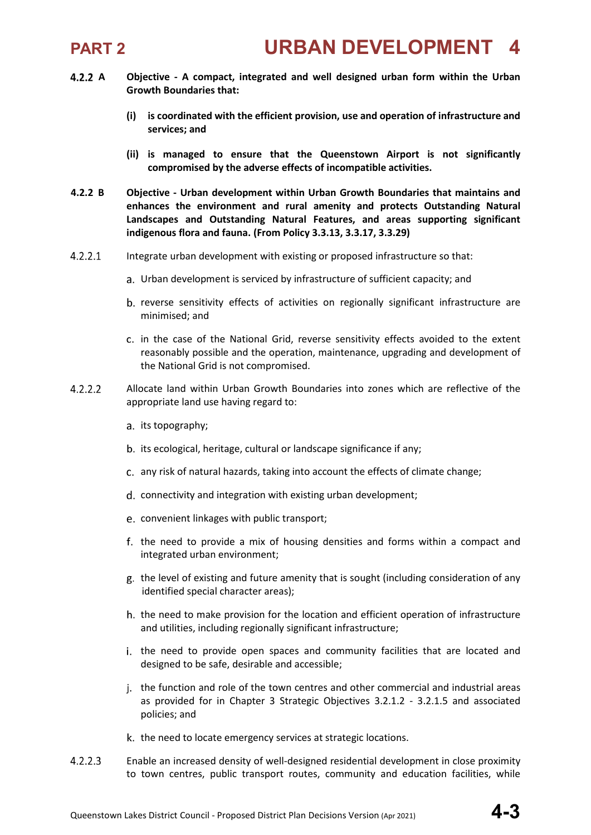

- **A Objective - A compact, integrated and well designed urban form within the Urban Growth Boundaries that:**
	- **(i) is coordinated with the efficient provision, use and operation of infrastructure and services; and**
	- **(ii) is managed to ensure that the Queenstown Airport is not significantly compromised by the adverse effects of incompatible activities.**
- **4.2.2 B Objective - Urban development within Urban Growth Boundaries that maintains and enhances the environment and rural amenity and protects Outstanding Natural Landscapes and Outstanding Natural Features, and areas supporting significant indigenous flora and fauna. (From Policy 3.3.13, 3.3.17, 3.3.29)**
- $4.2.2.1$ Integrate urban development with existing or proposed infrastructure so that:
	- Urban development is serviced by infrastructure of sufficient capacity; and
	- b. reverse sensitivity effects of activities on regionally significant infrastructure are minimised; and
	- in the case of the National Grid, reverse sensitivity effects avoided to the extent reasonably possible and the operation, maintenance, upgrading and development of the National Grid is not compromised.
- $4.2.2.2$ Allocate land within Urban Growth Boundaries into zones which are reflective of the appropriate land use having regard to:
	- a. its topography;
	- b. its ecological, heritage, cultural or landscape significance if any;
	- any risk of natural hazards, taking into account the effects of climate change;
	- d. connectivity and integration with existing urban development;
	- convenient linkages with public transport;
	- f. the need to provide a mix of housing densities and forms within a compact and integrated urban environment;
	- g. the level of existing and future amenity that is sought (including consideration of any identified special character areas);
	- h, the need to make provision for the location and efficient operation of infrastructure and utilities, including regionally significant infrastructure;
	- i. the need to provide open spaces and community facilities that are located and designed to be safe, desirable and accessible;
	- j. the function and role of the town centres and other commercial and industrial areas as provided for in Chapter 3 Strategic Objectives 3.2.1.2 - 3.2.1.5 and associated policies; and
	- k. the need to locate emergency services at strategic locations.
- $4.2.2.3$ Enable an increased density of well-designed residential development in close proximity to town centres, public transport routes, community and education facilities, while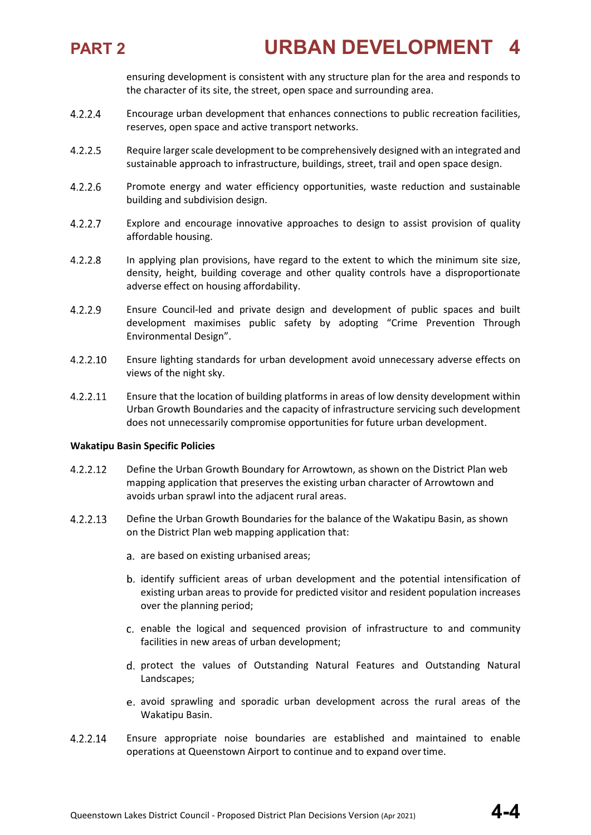

ensuring development is consistent with any structure plan for the area and responds to the character of its site, the street, open space and surrounding area.

- $4.2.2.4$ Encourage urban development that enhances connections to public recreation facilities, reserves, open space and active transport networks.
- $4.2.2.5$ Require larger scale development to be comprehensively designed with an integrated and sustainable approach to infrastructure, buildings, street, trail and open space design.
- $4.2.2.6$ Promote energy and water efficiency opportunities, waste reduction and sustainable building and subdivision design.
- $4.2.2.7$ Explore and encourage innovative approaches to design to assist provision of quality affordable housing.
- $4.2.2.8$ In applying plan provisions, have regard to the extent to which the minimum site size, density, height, building coverage and other quality controls have a disproportionate adverse effect on housing affordability.
- $4.2.2.9$ Ensure Council-led and private design and development of public spaces and built development maximises public safety by adopting "Crime Prevention Through Environmental Design".
- $4.2.2.10$ Ensure lighting standards for urban development avoid unnecessary adverse effects on views of the night sky.
- 4.2.2.11 Ensure that the location of building platforms in areas of low density development within Urban Growth Boundaries and the capacity of infrastructure servicing such development does not unnecessarily compromise opportunities for future urban development.

### **Wakatipu Basin Specific Policies**

- 4.2.2.12 Define the Urban Growth Boundary for Arrowtown, as shown on the District Plan web mapping application that preserves the existing urban character of Arrowtown and avoids urban sprawl into the adjacent rural areas.
- 4.2.2.13 Define the Urban Growth Boundaries for the balance of the Wakatipu Basin, as shown on the District Plan web mapping application that:
	- a. are based on existing urbanised areas;
	- b. identify sufficient areas of urban development and the potential intensification of existing urban areas to provide for predicted visitor and resident population increases over the planning period;
	- c. enable the logical and sequenced provision of infrastructure to and community facilities in new areas of urban development;
	- d. protect the values of Outstanding Natural Features and Outstanding Natural Landscapes;
	- avoid sprawling and sporadic urban development across the rural areas of the Wakatipu Basin.
- 4.2.2.14 Ensure appropriate noise boundaries are established and maintained to enable operations at Queenstown Airport to continue and to expand overtime.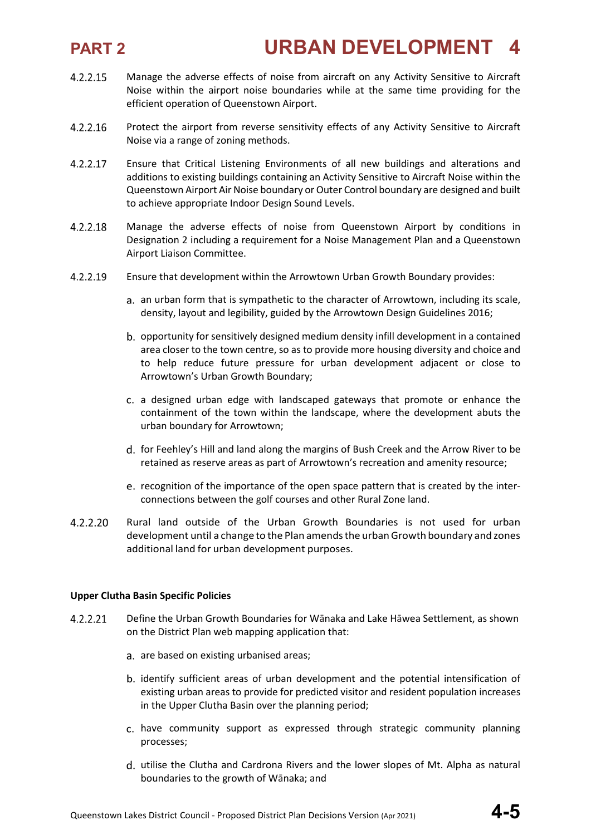# **PART 2 URBAN DEVELOPMENT 4**

- 4.2.2.15 Manage the adverse effects of noise from aircraft on any Activity Sensitive to Aircraft Noise within the airport noise boundaries while at the same time providing for the efficient operation of Queenstown Airport.
- $4.2.2.16$ Protect the airport from reverse sensitivity effects of any Activity Sensitive to Aircraft Noise via a range of zoning methods.
- 4.2.2.17 Ensure that Critical Listening Environments of all new buildings and alterations and additions to existing buildings containing an Activity Sensitive to Aircraft Noise within the Queenstown Airport Air Noise boundary or Outer Control boundary are designed and built to achieve appropriate Indoor Design Sound Levels.
- 4.2.2.18 Manage the adverse effects of noise from Queenstown Airport by conditions in Designation 2 including a requirement for a Noise Management Plan and a Queenstown Airport Liaison Committee.
- 4.2.2.19 Ensure that development within the Arrowtown Urban Growth Boundary provides:
	- a. an urban form that is sympathetic to the character of Arrowtown, including its scale, density, layout and legibility, guided by the Arrowtown Design Guidelines 2016;
	- b. opportunity for sensitively designed medium density infill development in a contained area closer to the town centre, so as to provide more housing diversity and choice and to help reduce future pressure for urban development adjacent or close to Arrowtown's Urban Growth Boundary;
	- a designed urban edge with landscaped gateways that promote or enhance the containment of the town within the landscape, where the development abuts the urban boundary for Arrowtown;
	- d. for Feehley's Hill and land along the margins of Bush Creek and the Arrow River to be retained as reserve areas as part of Arrowtown's recreation and amenity resource;
	- e. recognition of the importance of the open space pattern that is created by the interconnections between the golf courses and other Rural Zone land.
- 4.2.2.20 Rural land outside of the Urban Growth Boundaries is not used for urban development until a change to the Plan amendsthe urbanGrowth boundary and zones additional land for urban development purposes.

### **Upper Clutha Basin Specific Policies**

- Define the Urban Growth Boundaries for Wānaka and Lake Hāwea Settlement, as shown 4.2.2.21 on the District Plan web mapping application that:
	- a. are based on existing urbanised areas;
	- b. identify sufficient areas of urban development and the potential intensification of existing urban areas to provide for predicted visitor and resident population increases in the Upper Clutha Basin over the planning period;
	- have community support as expressed through strategic community planning processes;
	- d. utilise the Clutha and Cardrona Rivers and the lower slopes of Mt. Alpha as natural boundaries to the growth of Wānaka; and